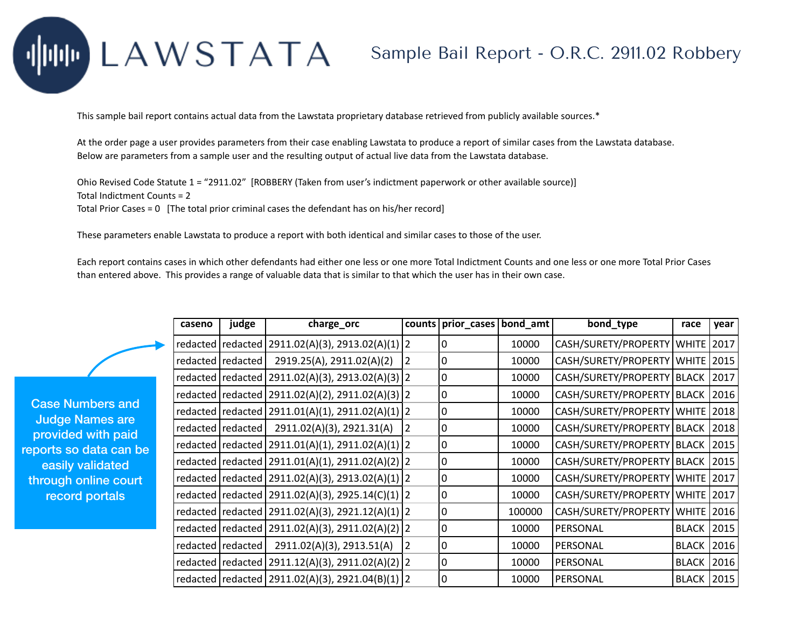## LAWSTATA

## Sample Bail Report - O.R.C. 2911.02 Robbery

This sample bail report contains actual data from the Lawstata proprietary database retrieved from publicly available sources.\*

At the order page a user provides parameters from their case enabling Lawstata to produce a report of similar cases from the Lawstata database. Below are parameters from a sample user and the resulting output of actual live data from the Lawstata database.

Ohio Revised Code Statute 1 = "2911.02" [ROBBERY (Taken from user's indictment paperwork or other available source)] Total Indictment Counts = 2

Total Prior Cases = 0 [The total prior criminal cases the defendant has on his/her record]

These parameters enable Lawstata to produce a report with both identical and similar cases to those of the user.

Each report contains cases in which other defendants had either one less or one more Total Indictment Counts and one less or one more Total Prior Cases than entered above. This provides a range of valuable data that is similar to that which the user has in their own case.

|   | caseno | judge               | charge_orc                                             | counts | prior_cases   bond_amt |        | bond_type                           | race              | year |
|---|--------|---------------------|--------------------------------------------------------|--------|------------------------|--------|-------------------------------------|-------------------|------|
| Ð |        |                     | redacted   redacted   2911.02(A)(3), 2913.02(A)(1)   2 |        | 0                      | 10000  | CASH/SURETY/PROPERTY   WHITE        |                   | 2017 |
|   |        | redacted   redacted | 2919.25(A), 2911.02(A)(2)                              | 2      | 0                      | 10000  | CASH/SURETY/PROPERTY   WHITE        |                   | 2015 |
|   |        |                     | redacted   redacted   2911.02(A)(3), 2913.02(A)(3)   2 |        | 0                      | 10000  | CASH/SURETY/PROPERTY   BLACK   2017 |                   |      |
|   |        |                     | redacted   redacted   2911.02(A)(2), 2911.02(A)(3)   2 |        | 0                      | 10000  | CASH/SURETY/PROPERTY   BLACK        |                   | 2016 |
|   |        |                     | redacted   redacted   2911.01(A)(1), 2911.02(A)(1)   2 |        | 0                      | 10000  | CASH/SURETY/PROPERTY   WHITE   2018 |                   |      |
|   |        | redacted   redacted | 2911.02(A)(3), 2921.31(A)                              | 2      | 0                      | 10000  | CASH/SURETY/PROPERTY BLACK 2018     |                   |      |
|   |        |                     | redacted   redacted   2911.01(A)(1), 2911.02(A)(1)   2 |        | 0                      | 10000  | CASH/SURETY/PROPERTY   BLACK   2015 |                   |      |
|   |        |                     | redacted   redacted   2911.01(A)(1), 2911.02(A)(2)   2 |        | 0                      | 10000  | CASH/SURETY/PROPERTY   BLACK        |                   | 2015 |
|   |        |                     | redacted   redacted   2911.02(A)(3), 2913.02(A)(1)   2 |        | 0                      | 10000  | CASH/SURETY/PROPERTY   WHITE   2017 |                   |      |
|   |        |                     | redacted   redacted   2911.02(A)(3), 2925.14(C)(1)     | 2      | 0                      | 10000  | CASH/SURETY/PROPERTY   WHITE   2017 |                   |      |
|   |        |                     | redacted   redacted   2911.02(A)(3), 2921.12(A)(1)   2 |        | 0                      | 100000 | CASH/SURETY/PROPERTY   WHITE   2016 |                   |      |
|   |        |                     | redacted   redacted   2911.02(A)(3), 2911.02(A)(2)   2 |        | 0                      | 10000  | PERSONAL                            | <b>BLACK</b>      | 2015 |
|   |        | redacted   redacted | 2911.02(A)(3), 2913.51(A)                              | 2      | 0                      | 10000  | PERSONAL                            | <b>BLACK</b>      | 2016 |
|   |        |                     | redacted   redacted   2911.12(A)(3), 2911.02(A)(2)   2 |        | 0                      | 10000  | PERSONAL                            | <b>BLACK 2016</b> |      |
|   |        |                     | redacted   redacted   2911.02(A)(3), 2921.04(B)(1)   2 |        | 0                      | 10000  | PERSONAL                            | <b>BLACK</b>      | 2015 |

Case Numbers and Judge Names are provided with paid reports so data can be easily validated through online court record portals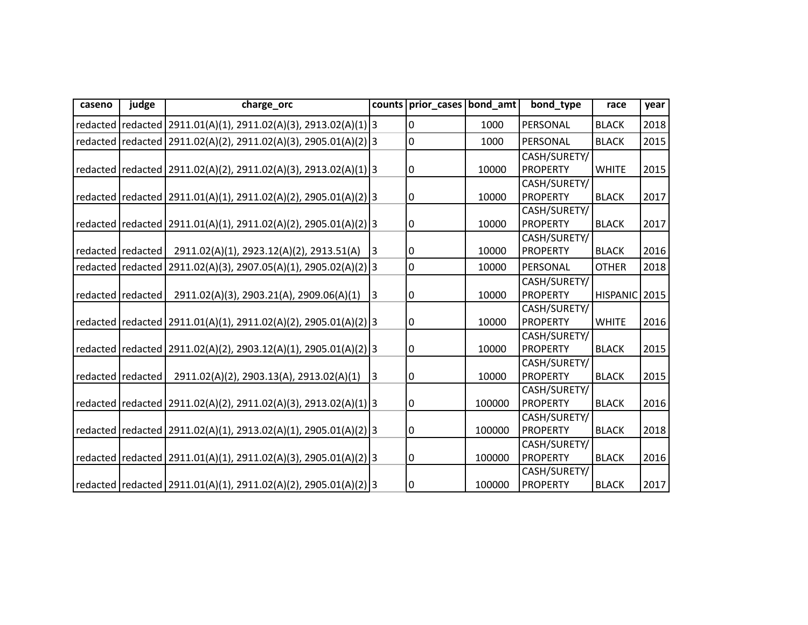| caseno | judge               | charge_orc                                                            | counts         | prior_cases bond_amt |        | bond type       | race          | year |
|--------|---------------------|-----------------------------------------------------------------------|----------------|----------------------|--------|-----------------|---------------|------|
|        |                     | redacted   redacted   2911.01(A)(1), 2911.02(A)(3), 2913.02(A)(1)   3 |                | 0                    | 1000   | PERSONAL        | <b>BLACK</b>  | 2018 |
|        |                     | redacted   redacted   2911.02(A)(2), 2911.02(A)(3), 2905.01(A)(2)   3 |                | $\mathbf 0$          | 1000   | PERSONAL        | <b>BLACK</b>  | 2015 |
|        |                     |                                                                       |                |                      |        | CASH/SURETY/    |               |      |
|        |                     | redacted  redacted   2911.02(A)(2), 2911.02(A)(3), 2913.02(A)(1)   3  |                | 0                    | 10000  | <b>PROPERTY</b> | <b>WHITE</b>  | 2015 |
|        |                     |                                                                       |                |                      |        | CASH/SURETY/    |               |      |
|        |                     | redacted redacted 2911.01(A)(1), 2911.02(A)(2), 2905.01(A)(2) 3       |                | 0                    | 10000  | <b>PROPERTY</b> | <b>BLACK</b>  | 2017 |
|        |                     |                                                                       |                |                      |        | CASH/SURETY/    |               |      |
|        |                     | redacted   redacted   2911.01(A)(1), 2911.02(A)(2), 2905.01(A)(2) 3   |                | 0                    | 10000  | <b>PROPERTY</b> | <b>BLACK</b>  | 2017 |
|        |                     |                                                                       |                |                      |        | CASH/SURETY/    |               |      |
|        | redacted redacted   | 2911.02(A)(1), 2923.12(A)(2), 2913.51(A)                              | 3              | 0                    | 10000  | <b>PROPERTY</b> | <b>BLACK</b>  | 2016 |
|        |                     | redacted   redacted   2911.02(A)(3), 2907.05(A)(1), 2905.02(A)(2)   3 |                | $\mathbf 0$          | 10000  | PERSONAL        | <b>OTHER</b>  | 2018 |
|        |                     |                                                                       |                |                      |        | CASH/SURETY/    |               |      |
|        | redacted redacted   | 2911.02(A)(3), 2903.21(A), 2909.06(A)(1)                              | $\overline{3}$ | 0                    | 10000  | <b>PROPERTY</b> | HISPANIC 2015 |      |
|        |                     |                                                                       |                |                      |        | CASH/SURETY/    |               |      |
|        |                     | redacted   redacted   2911.01(A)(1), 2911.02(A)(2), 2905.01(A)(2)   3 |                | 0                    | 10000  | <b>PROPERTY</b> | <b>WHITE</b>  | 2016 |
|        |                     |                                                                       |                |                      |        | CASH/SURETY/    |               |      |
|        |                     | redacted   redacted   2911.02(A)(2), 2903.12(A)(1), 2905.01(A)(2)   3 |                | 0                    | 10000  | <b>PROPERTY</b> | <b>BLACK</b>  | 2015 |
|        |                     |                                                                       |                |                      |        | CASH/SURETY/    |               |      |
|        | redacted   redacted | 2911.02(A)(2), 2903.13(A), 2913.02(A)(1)                              | 3              | 0                    | 10000  | <b>PROPERTY</b> | <b>BLACK</b>  | 2015 |
|        |                     |                                                                       |                |                      |        | CASH/SURETY/    |               |      |
|        |                     | redacted   redacted   2911.02(A)(2), 2911.02(A)(3), 2913.02(A)(1) 3   |                | 0                    | 100000 | <b>PROPERTY</b> | <b>BLACK</b>  | 2016 |
|        |                     |                                                                       |                |                      |        | CASH/SURETY/    |               |      |
|        |                     | redacted   redacted   2911.02(A)(1), 2913.02(A)(1), 2905.01(A)(2)   3 |                | 0                    | 100000 | <b>PROPERTY</b> | <b>BLACK</b>  | 2018 |
|        |                     |                                                                       |                |                      |        | CASH/SURETY/    |               |      |
|        |                     | redacted   redacted   2911.01(A)(1), 2911.02(A)(3), 2905.01(A)(2)   3 |                | 0                    | 100000 | <b>PROPERTY</b> | <b>BLACK</b>  | 2016 |
|        |                     |                                                                       |                |                      |        | CASH/SURETY/    |               |      |
|        |                     | redacted redacted 2911.01(A)(1), 2911.02(A)(2), 2905.01(A)(2) 3       |                | 0                    | 100000 | <b>PROPERTY</b> | <b>BLACK</b>  | 2017 |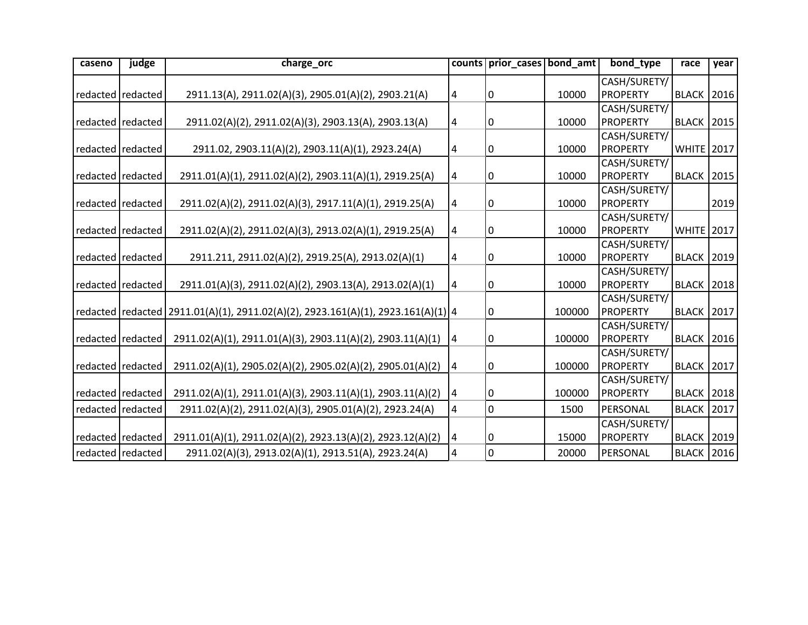| caseno | judge               | charge_orc                                                                             | counts | prior_cases bond_amt |        | bond type       | race                | year |
|--------|---------------------|----------------------------------------------------------------------------------------|--------|----------------------|--------|-----------------|---------------------|------|
|        |                     |                                                                                        |        |                      |        | CASH/SURETY/    |                     |      |
|        | redacted redacted   | 2911.13(A), 2911.02(A)(3), 2905.01(A)(2), 2903.21(A)                                   | 4      | 0                    | 10000  | <b>PROPERTY</b> | <b>BLACK   2016</b> |      |
|        |                     |                                                                                        |        |                      |        | CASH/SURETY/    |                     |      |
|        | redacted   redacted | 2911.02(A)(2), 2911.02(A)(3), 2903.13(A), 2903.13(A)                                   | 4      | 0                    | 10000  | <b>PROPERTY</b> | <b>BLACK   2015</b> |      |
|        |                     |                                                                                        |        |                      |        | CASH/SURETY/    |                     |      |
|        | redacted   redacted | 2911.02, 2903.11(A)(2), 2903.11(A)(1), 2923.24(A)                                      | 4      | 0                    | 10000  | <b>PROPERTY</b> | <b>WHITE</b> 2017   |      |
|        |                     |                                                                                        |        |                      |        | CASH/SURETY/    |                     |      |
|        | redacted redacted   | 2911.01(A)(1), 2911.02(A)(2), 2903.11(A)(1), 2919.25(A)                                | 4      | 0                    | 10000  | <b>PROPERTY</b> | <b>BLACK</b>        | 2015 |
|        |                     |                                                                                        |        |                      |        | CASH/SURETY/    |                     |      |
|        | redacted redacted   | 2911.02(A)(2), 2911.02(A)(3), 2917.11(A)(1), 2919.25(A)                                | 4      | 0                    | 10000  | <b>PROPERTY</b> |                     | 2019 |
|        |                     |                                                                                        |        |                      |        | CASH/SURETY/    |                     |      |
|        | redacted redacted   | 2911.02(A)(2), 2911.02(A)(3), 2913.02(A)(1), 2919.25(A)                                | 4      | 0                    | 10000  | <b>PROPERTY</b> | <b>WHITE</b> 2017   |      |
|        |                     |                                                                                        |        |                      |        | CASH/SURETY/    |                     |      |
|        | redacted redacted   | 2911.211, 2911.02(A)(2), 2919.25(A), 2913.02(A)(1)                                     | 4      | 0                    | 10000  | <b>PROPERTY</b> | <b>BLACK   2019</b> |      |
|        |                     |                                                                                        |        |                      |        | CASH/SURETY/    |                     |      |
|        | redacted redacted   | 2911.01(A)(3), 2911.02(A)(2), 2903.13(A), 2913.02(A)(1)                                | 4      | 0                    | 10000  | <b>PROPERTY</b> | <b>BLACK   2018</b> |      |
|        |                     |                                                                                        |        |                      |        | CASH/SURETY/    |                     |      |
|        |                     | redacted   redacted   2911.01(A)(1), 2911.02(A)(2), 2923.161(A)(1), 2923.161(A)(1)   4 |        | 0                    | 100000 | <b>PROPERTY</b> | <b>BLACK 2017</b>   |      |
|        |                     |                                                                                        |        |                      |        | CASH/SURETY/    |                     |      |
|        | redacted redacted   | 2911.02(A)(1), 2911.01(A)(3), 2903.11(A)(2), 2903.11(A)(1)                             | 4      | 0                    | 100000 | <b>PROPERTY</b> | <b>BLACK   2016</b> |      |
|        |                     |                                                                                        |        |                      |        | CASH/SURETY/    |                     |      |
|        | redacted redacted   | 2911.02(A)(1), 2905.02(A)(2), 2905.02(A)(2), 2905.01(A)(2)                             | 4      | 0                    | 100000 | <b>PROPERTY</b> | <b>BLACK   2017</b> |      |
|        |                     |                                                                                        |        |                      |        | CASH/SURETY/    |                     |      |
|        | redacted redacted   | 2911.02(A)(1), 2911.01(A)(3), 2903.11(A)(1), 2903.11(A)(2)                             | 4      | 0                    | 100000 | <b>PROPERTY</b> | <b>BLACK 2018</b>   |      |
|        | redacted redacted   | 2911.02(A)(2), 2911.02(A)(3), 2905.01(A)(2), 2923.24(A)                                | 4      | 0                    | 1500   | PERSONAL        | <b>BLACK</b>        | 2017 |
|        |                     |                                                                                        |        |                      |        | CASH/SURETY/    |                     |      |
|        | redacted redacted   | 2911.01(A)(1), 2911.02(A)(2), 2923.13(A)(2), 2923.12(A)(2)                             | 4      | 0                    | 15000  | <b>PROPERTY</b> | <b>BLACK 2019</b>   |      |
|        | redacted redacted   | 2911.02(A)(3), 2913.02(A)(1), 2913.51(A), 2923.24(A)                                   | 4      | 0                    | 20000  | PERSONAL        | <b>BLACK 2016</b>   |      |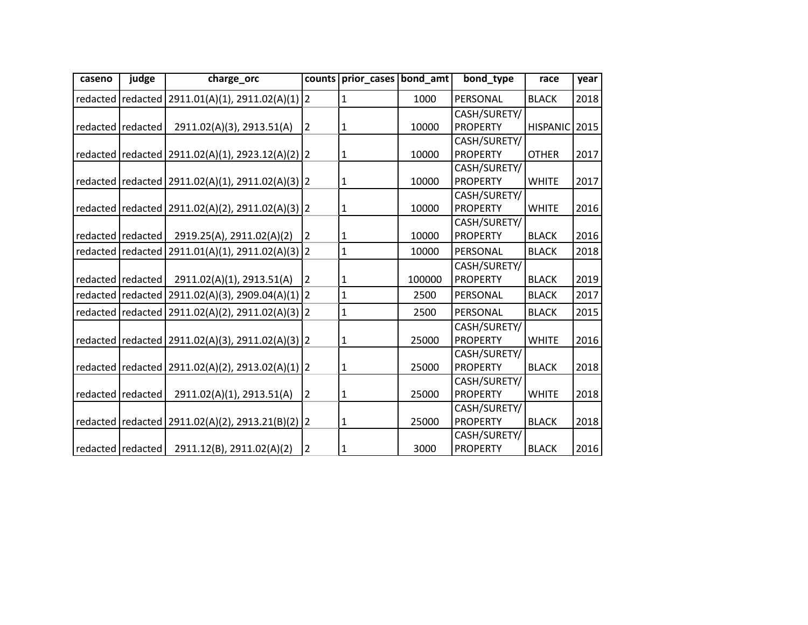| caseno | judge               | charge_orc                                             |                | counts   prior_cases   bond_amt |        | bond_type       | race          | year |
|--------|---------------------|--------------------------------------------------------|----------------|---------------------------------|--------|-----------------|---------------|------|
|        |                     | redacted   redacted   2911.01(A)(1), 2911.02(A)(1)   2 |                | $\mathbf{1}$                    | 1000   | PERSONAL        | <b>BLACK</b>  | 2018 |
|        |                     |                                                        |                |                                 |        | CASH/SURETY/    |               |      |
|        | redacted   redacted | 2911.02(A)(3), 2913.51(A)                              | $\overline{2}$ | 1                               | 10000  | <b>PROPERTY</b> | HISPANIC 2015 |      |
|        |                     |                                                        |                |                                 |        | CASH/SURETY/    |               |      |
|        |                     | redacted   redacted   2911.02(A)(1), 2923.12(A)(2)   2 |                | 1                               | 10000  | <b>PROPERTY</b> | <b>OTHER</b>  | 2017 |
|        |                     |                                                        |                |                                 |        | CASH/SURETY/    |               |      |
|        |                     | redacted  redacted   2911.02(A)(1), 2911.02(A)(3)   2  |                | 1                               | 10000  | <b>PROPERTY</b> | <b>WHITE</b>  | 2017 |
|        |                     |                                                        |                |                                 |        | CASH/SURETY/    |               |      |
|        |                     | redacted  redacted   2911.02(A)(2), 2911.02(A)(3)   2  |                | 1                               | 10000  | <b>PROPERTY</b> | <b>WHITE</b>  | 2016 |
|        |                     |                                                        |                |                                 |        | CASH/SURETY/    |               |      |
|        | redacted redacted   | 2919.25(A), 2911.02(A)(2)                              | 2              | $\mathbf{1}$                    | 10000  | <b>PROPERTY</b> | <b>BLACK</b>  | 2016 |
|        |                     | redacted   redacted   2911.01(A)(1), 2911.02(A)(3)   2 |                | 1                               | 10000  | PERSONAL        | <b>BLACK</b>  | 2018 |
|        |                     |                                                        |                |                                 |        | CASH/SURETY/    |               |      |
|        | redacted redacted   | 2911.02(A)(1), 2913.51(A)                              | 2              | 1                               | 100000 | <b>PROPERTY</b> | <b>BLACK</b>  | 2019 |
|        |                     | redacted   redacted   2911.02(A)(3), 2909.04(A)(1)   2 |                | $\mathbf{1}$                    | 2500   | PERSONAL        | <b>BLACK</b>  | 2017 |
|        |                     | redacted   redacted   2911.02(A)(2), 2911.02(A)(3)   2 |                | $\mathbf 1$                     | 2500   | PERSONAL        | <b>BLACK</b>  | 2015 |
|        |                     |                                                        |                |                                 |        | CASH/SURETY/    |               |      |
|        |                     | redacted   redacted   2911.02(A)(3), 2911.02(A)(3)   2 |                | 1                               | 25000  | <b>PROPERTY</b> | <b>WHITE</b>  | 2016 |
|        |                     |                                                        |                |                                 |        | CASH/SURETY/    |               |      |
|        |                     | redacted   redacted   2911.02(A)(2), 2913.02(A)(1)   2 |                | $\mathbf{1}$                    | 25000  | <b>PROPERTY</b> | <b>BLACK</b>  | 2018 |
|        |                     |                                                        |                |                                 |        | CASH/SURETY/    |               |      |
|        | redacted   redacted | 2911.02(A)(1), 2913.51(A)                              | $\overline{2}$ | 1                               | 25000  | <b>PROPERTY</b> | <b>WHITE</b>  | 2018 |
|        |                     |                                                        |                |                                 |        | CASH/SURETY/    |               |      |
|        |                     | redacted   redacted   2911.02(A)(2), 2913.21(B)(2)   2 |                | 1                               | 25000  | <b>PROPERTY</b> | <b>BLACK</b>  | 2018 |
|        |                     |                                                        |                |                                 |        | CASH/SURETY/    |               |      |
|        | redacted   redacted | 2911.12(B), 2911.02(A)(2)                              | 2              | 1                               | 3000   | <b>PROPERTY</b> | <b>BLACK</b>  | 2016 |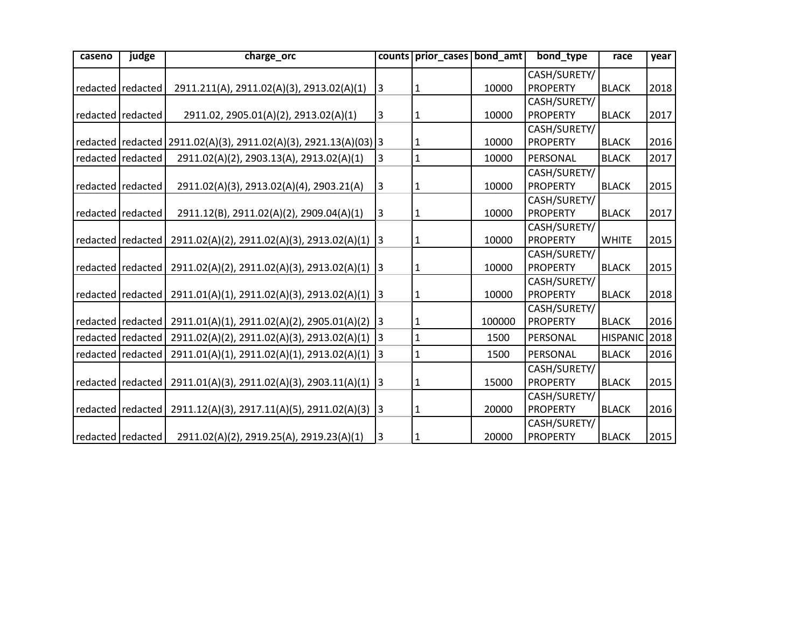| caseno | judge               | charge_orc                                                             |              | counts prior cases bond amt |        | bond type       | race            | year |
|--------|---------------------|------------------------------------------------------------------------|--------------|-----------------------------|--------|-----------------|-----------------|------|
|        |                     |                                                                        |              |                             |        | CASH/SURETY/    |                 |      |
|        | redacted redacted   | 2911.211(A), 2911.02(A)(3), 2913.02(A)(1)                              | 3            | 1                           | 10000  | <b>PROPERTY</b> | <b>BLACK</b>    | 2018 |
|        |                     |                                                                        |              |                             |        | CASH/SURETY/    |                 |      |
|        | redacted redacted   | 2911.02, 2905.01(A)(2), 2913.02(A)(1)                                  | 3            | 1                           | 10000  | <b>PROPERTY</b> | <b>BLACK</b>    | 2017 |
|        |                     |                                                                        |              |                             |        | CASH/SURETY/    |                 |      |
|        |                     | redacted   redacted   2911.02(A)(3), 2911.02(A)(3), 2921.13(A)(03)   3 |              | 1                           | 10000  | <b>PROPERTY</b> | <b>BLACK</b>    | 2016 |
|        | redacted redacted   | 2911.02(A)(2), 2903.13(A), 2913.02(A)(1)                               | 3            | $\mathbf{1}$                | 10000  | PERSONAL        | <b>BLACK</b>    | 2017 |
|        |                     |                                                                        |              |                             |        | CASH/SURETY/    |                 |      |
|        | redacted redacted   | 2911.02(A)(3), 2913.02(A)(4), 2903.21(A)                               | $\mathbf{3}$ | 1                           | 10000  | <b>PROPERTY</b> | <b>BLACK</b>    | 2015 |
|        |                     |                                                                        |              |                             |        | CASH/SURETY/    |                 |      |
|        | redacted   redacted | 2911.12(B), 2911.02(A)(2), 2909.04(A)(1)                               | 3            | 1                           | 10000  | <b>PROPERTY</b> | <b>BLACK</b>    | 2017 |
|        |                     |                                                                        |              |                             |        | CASH/SURETY/    |                 |      |
|        | redacted   redacted | 2911.02(A)(2), 2911.02(A)(3), 2913.02(A)(1) 3                          |              | 1                           | 10000  | <b>PROPERTY</b> | <b>WHITE</b>    | 2015 |
|        |                     |                                                                        |              |                             |        | CASH/SURETY/    |                 |      |
|        | redacted   redacted | 2911.02(A)(2), 2911.02(A)(3), 2913.02(A)(1)                            | 3            | 1                           | 10000  | <b>PROPERTY</b> | <b>BLACK</b>    | 2015 |
|        |                     |                                                                        |              |                             |        | CASH/SURETY/    |                 |      |
|        | redacted redacted   | 2911.01(A)(1), 2911.02(A)(3), 2913.02(A)(1)                            | 3            | 1                           | 10000  | <b>PROPERTY</b> | <b>BLACK</b>    | 2018 |
|        |                     |                                                                        |              |                             |        | CASH/SURETY/    |                 |      |
|        | redacted   redacted | 2911.01(A)(1), 2911.02(A)(2), 2905.01(A)(2) 3                          |              | 1                           | 100000 | <b>PROPERTY</b> | <b>BLACK</b>    | 2016 |
|        | redacted   redacted | 2911.02(A)(2), 2911.02(A)(3), 2913.02(A)(1)                            | 3            | $\mathbf{1}$                | 1500   | PERSONAL        | <b>HISPANIC</b> | 2018 |
|        | redacted redacted   | 2911.01(A)(1), 2911.02(A)(1), 2913.02(A)(1)                            | 3            | $\mathbf{1}$                | 1500   | PERSONAL        | <b>BLACK</b>    | 2016 |
|        |                     |                                                                        |              |                             |        | CASH/SURETY/    |                 |      |
|        | redacted redacted   | 2911.01(A)(3), 2911.02(A)(3), 2903.11(A)(1)                            | $\vert$ 3    | 1                           | 15000  | <b>PROPERTY</b> | <b>BLACK</b>    | 2015 |
|        |                     |                                                                        |              |                             |        | CASH/SURETY/    |                 |      |
|        | redacted   redacted | 2911.12(A)(3), 2917.11(A)(5), 2911.02(A)(3) 3                          |              | 1                           | 20000  | <b>PROPERTY</b> | <b>BLACK</b>    | 2016 |
|        |                     |                                                                        |              |                             |        | CASH/SURETY/    |                 |      |
|        | redacted redacted   | 2911.02(A)(2), 2919.25(A), 2919.23(A)(1)                               | $\mathbf{3}$ | 1                           | 20000  | <b>PROPERTY</b> | <b>BLACK</b>    | 2015 |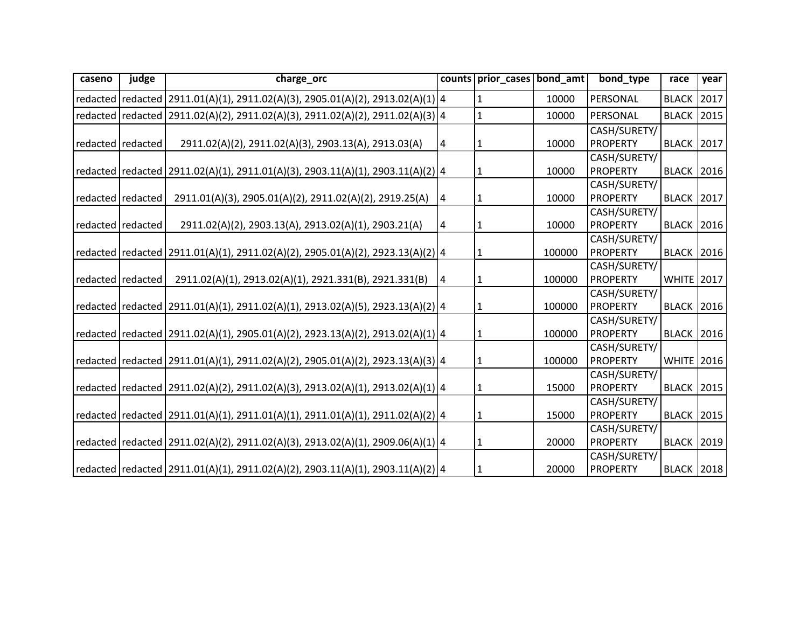| caseno | judge               | charge_orc                                                                           |   | counts   prior_cases   bond_amt |        | bond_type       | race                | year |
|--------|---------------------|--------------------------------------------------------------------------------------|---|---------------------------------|--------|-----------------|---------------------|------|
|        |                     | redacted   redacted   2911.01(A)(1), 2911.02(A)(3), 2905.01(A)(2), 2913.02(A)(1)   4 |   | $\mathbf{1}$                    | 10000  | PERSONAL        | <b>BLACK 2017</b>   |      |
|        |                     | redacted   redacted   2911.02(A)(2), 2911.02(A)(3), 2911.02(A)(2), 2911.02(A)(3)   4 |   | $\mathbf 1$                     | 10000  | PERSONAL        | <b>BLACK</b>        | 2015 |
|        |                     |                                                                                      |   |                                 |        | CASH/SURETY/    |                     |      |
|        | redacted   redacted | 2911.02(A)(2), 2911.02(A)(3), 2903.13(A), 2913.03(A)                                 | 4 | 1                               | 10000  | <b>PROPERTY</b> | <b>BLACK 2017</b>   |      |
|        |                     |                                                                                      |   |                                 |        | CASH/SURETY/    |                     |      |
|        |                     | redacted   redacted   2911.02(A)(1), 2911.01(A)(3), 2903.11(A)(1), 2903.11(A)(2)   4 |   | $\mathbf{1}$                    | 10000  | <b>PROPERTY</b> | <b>BLACK 2016</b>   |      |
|        |                     |                                                                                      |   |                                 |        | CASH/SURETY/    |                     |      |
|        | redacted   redacted | 2911.01(A)(3), 2905.01(A)(2), 2911.02(A)(2), 2919.25(A)                              | 4 | 1                               | 10000  | <b>PROPERTY</b> | <b>BLACK 2017</b>   |      |
|        |                     |                                                                                      |   |                                 |        | CASH/SURETY/    |                     |      |
|        | redacted   redacted | 2911.02(A)(2), 2903.13(A), 2913.02(A)(1), 2903.21(A)                                 | 4 | $\mathbf 1$                     | 10000  | <b>PROPERTY</b> | <b>BLACK 2016</b>   |      |
|        |                     |                                                                                      |   |                                 |        | CASH/SURETY/    |                     |      |
|        |                     | redacted   redacted   2911.01(A)(1), 2911.02(A)(2), 2905.01(A)(2), 2923.13(A)(2)   4 |   | 1                               | 100000 | <b>PROPERTY</b> | <b>BLACK 2016</b>   |      |
|        |                     |                                                                                      |   |                                 |        | CASH/SURETY/    |                     |      |
|        | redacted   redacted | 2911.02(A)(1), 2913.02(A)(1), 2921.331(B), 2921.331(B)                               | 4 | $\mathbf 1$                     | 100000 | <b>PROPERTY</b> | <b>WHITE</b> 2017   |      |
|        |                     |                                                                                      |   |                                 |        | CASH/SURETY/    |                     |      |
|        |                     | redacted   redacted   2911.01(A)(1), 2911.02(A)(1), 2913.02(A)(5), 2923.13(A)(2)   4 |   | 1                               | 100000 | <b>PROPERTY</b> | <b>BLACK 2016</b>   |      |
|        |                     |                                                                                      |   |                                 |        | CASH/SURETY/    |                     |      |
|        |                     | redacted   redacted   2911.02(A)(1), 2905.01(A)(2), 2923.13(A)(2), 2913.02(A)(1)   4 |   | $\mathbf{1}$                    | 100000 | <b>PROPERTY</b> | <b>BLACK 2016</b>   |      |
|        |                     |                                                                                      |   |                                 |        | CASH/SURETY/    |                     |      |
|        |                     | redacted   redacted   2911.01(A)(1), 2911.02(A)(2), 2905.01(A)(2), 2923.13(A)(3)   4 |   | $\mathbf{1}$                    | 100000 | <b>PROPERTY</b> | <b>WHITE</b> 2016   |      |
|        |                     |                                                                                      |   |                                 |        | CASH/SURETY/    |                     |      |
|        |                     | redacted   redacted   2911.02(A)(2), 2911.02(A)(3), 2913.02(A)(1), 2913.02(A)(1)   4 |   | $\mathbf{1}$                    | 15000  | <b>PROPERTY</b> | <b>BLACK 2015</b>   |      |
|        |                     |                                                                                      |   |                                 |        | CASH/SURETY/    |                     |      |
|        |                     | redacted  redacted   2911.01(A)(1), 2911.01(A)(1), 2911.01(A)(1), 2911.02(A)(2)   4  |   | $\mathbf 1$                     | 15000  | <b>PROPERTY</b> | <b>BLACK 2015</b>   |      |
|        |                     |                                                                                      |   |                                 |        | CASH/SURETY/    |                     |      |
|        |                     | redacted   redacted   2911.02(A)(2), 2911.02(A)(3), 2913.02(A)(1), 2909.06(A)(1)   4 |   | $\mathbf{1}$                    | 20000  | <b>PROPERTY</b> | <b>BLACK 2019</b>   |      |
|        |                     |                                                                                      |   |                                 |        | CASH/SURETY/    |                     |      |
|        |                     | redacted redacted 2911.01(A)(1), 2911.02(A)(2), 2903.11(A)(1), 2903.11(A)(2) 4       |   | $\mathbf 1$                     | 20000  | <b>PROPERTY</b> | <b>BLACK   2018</b> |      |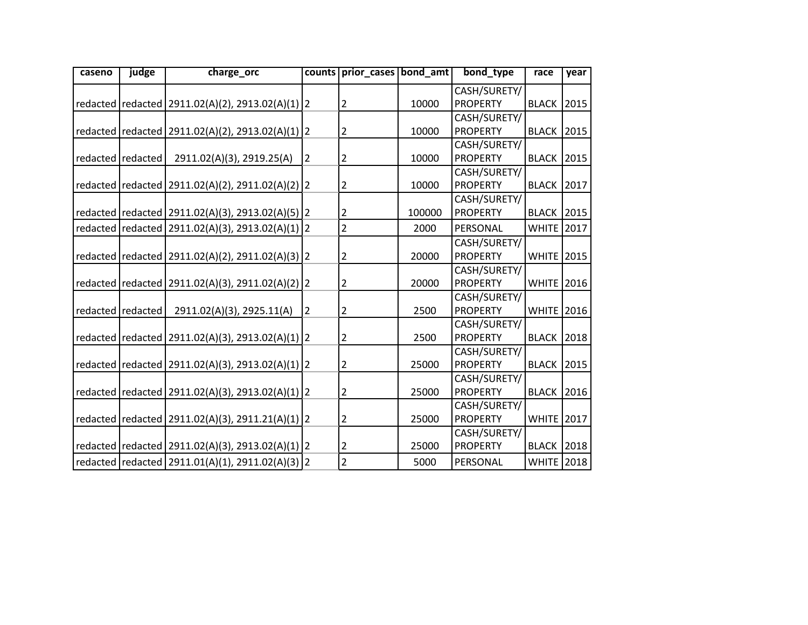| caseno | judge               | charge_orc                                             | counts         | prior_cases bond_amt |        | bond type       | race              | year |
|--------|---------------------|--------------------------------------------------------|----------------|----------------------|--------|-----------------|-------------------|------|
|        |                     |                                                        |                |                      |        | CASH/SURETY/    |                   |      |
|        |                     | redacted   redacted   2911.02(A)(2), 2913.02(A)(1)   2 |                | $\overline{2}$       | 10000  | <b>PROPERTY</b> | <b>BLACK 2015</b> |      |
|        |                     |                                                        |                |                      |        | CASH/SURETY/    |                   |      |
|        |                     | redacted   redacted   2911.02(A)(2), 2913.02(A)(1)   2 |                | $\overline{2}$       | 10000  | <b>PROPERTY</b> | <b>BLACK 2015</b> |      |
|        |                     |                                                        |                |                      |        | CASH/SURETY/    |                   |      |
|        | redacted   redacted | 2911.02(A)(3), 2919.25(A)                              | $\overline{2}$ | $\overline{2}$       | 10000  | <b>PROPERTY</b> | <b>BLACK 2015</b> |      |
|        |                     |                                                        |                |                      |        | CASH/SURETY/    |                   |      |
|        |                     | redacted   redacted   2911.02(A)(2), 2911.02(A)(2)   2 |                | $\overline{2}$       | 10000  | <b>PROPERTY</b> | <b>BLACK 2017</b> |      |
|        |                     |                                                        |                |                      |        | CASH/SURETY/    |                   |      |
|        |                     | redacted   redacted   2911.02(A)(3), 2913.02(A)(5)   2 |                | $\overline{2}$       | 100000 | <b>PROPERTY</b> | <b>BLACK 2015</b> |      |
|        |                     | redacted   redacted   2911.02(A)(3), 2913.02(A)(1)   2 |                | $\overline{2}$       | 2000   | PERSONAL        | <b>WHITE</b>      | 2017 |
|        |                     |                                                        |                |                      |        | CASH/SURETY/    |                   |      |
|        |                     | redacted   redacted   2911.02(A)(2), 2911.02(A)(3)   2 |                | $\overline{2}$       | 20000  | <b>PROPERTY</b> | <b>WHITE 2015</b> |      |
|        |                     |                                                        |                |                      |        | CASH/SURETY/    |                   |      |
|        |                     | redacted   redacted   2911.02(A)(3), 2911.02(A)(2)   2 |                | $\overline{2}$       | 20000  | <b>PROPERTY</b> | <b>WHITE</b>      | 2016 |
|        |                     |                                                        |                |                      |        | CASH/SURETY/    |                   |      |
|        | redacted redacted   | 2911.02(A)(3), 2925.11(A)                              | $\overline{2}$ | 2                    | 2500   | <b>PROPERTY</b> | <b>WHITE</b> 2016 |      |
|        |                     |                                                        |                |                      |        | CASH/SURETY/    |                   |      |
|        |                     | redacted   redacted   2911.02(A)(3), 2913.02(A)(1)   2 |                | $\overline{2}$       | 2500   | <b>PROPERTY</b> | <b>BLACK</b>      | 2018 |
|        |                     |                                                        |                |                      |        | CASH/SURETY/    |                   |      |
|        |                     | redacted   redacted   2911.02(A)(3), 2913.02(A)(1)   2 |                | 2                    | 25000  | <b>PROPERTY</b> | <b>BLACK 2015</b> |      |
|        |                     |                                                        |                |                      |        | CASH/SURETY/    |                   |      |
|        |                     | redacted   redacted   2911.02(A)(3), 2913.02(A)(1)   2 |                | 2                    | 25000  | <b>PROPERTY</b> | <b>BLACK</b>      | 2016 |
|        |                     |                                                        |                |                      |        | CASH/SURETY/    |                   |      |
|        |                     | redacted   redacted   2911.02(A)(3), 2911.21(A)(1)   2 |                | 2                    | 25000  | <b>PROPERTY</b> | <b>WHITE</b>      | 2017 |
|        |                     |                                                        |                |                      |        | CASH/SURETY/    |                   |      |
|        |                     | redacted   redacted   2911.02(A)(3), 2913.02(A)(1)   2 |                | 2                    | 25000  | <b>PROPERTY</b> | <b>BLACK 2018</b> |      |
|        |                     | redacted   redacted   2911.01(A)(1), 2911.02(A)(3)   2 |                | $\overline{2}$       | 5000   | PERSONAL        | <b>WHITE</b> 2018 |      |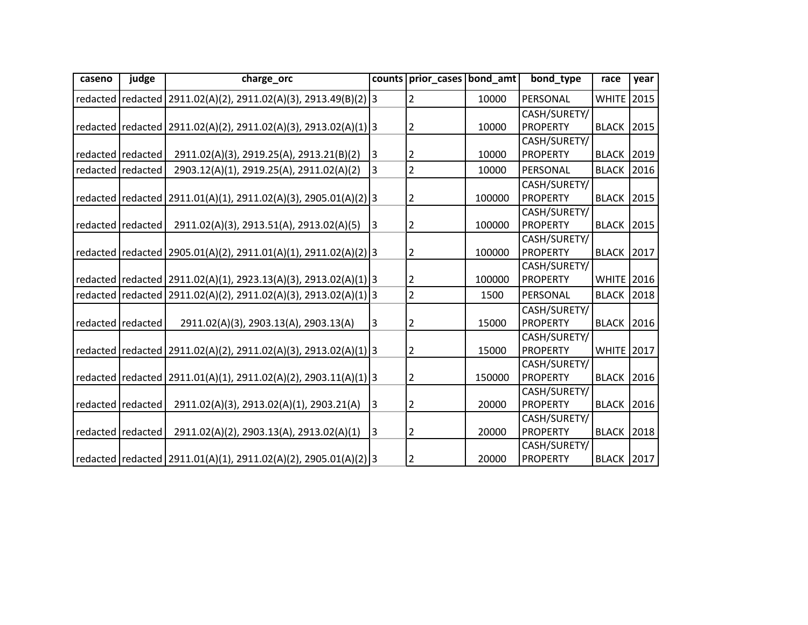| caseno | judge               | charge_orc                                                            |                | counts prior cases bond amt |        | bond type       | race              | year |
|--------|---------------------|-----------------------------------------------------------------------|----------------|-----------------------------|--------|-----------------|-------------------|------|
|        |                     | redacted   redacted   2911.02(A)(2), 2911.02(A)(3), 2913.49(B)(2)   3 |                | $\overline{2}$              | 10000  | PERSONAL        | WHITE 2015        |      |
|        |                     |                                                                       |                |                             |        | CASH/SURETY/    |                   |      |
|        |                     | redacted   redacted   2911.02(A)(2), 2911.02(A)(3), 2913.02(A)(1)   3 |                | $\overline{2}$              | 10000  | <b>PROPERTY</b> | <b>BLACK 2015</b> |      |
|        |                     |                                                                       |                |                             |        | CASH/SURETY/    |                   |      |
|        | redacted redacted   | 2911.02(A)(3), 2919.25(A), 2913.21(B)(2)                              | 3              | $\overline{2}$              | 10000  | <b>PROPERTY</b> | <b>BLACK 2019</b> |      |
|        | redacted redacted   | 2903.12(A)(1), 2919.25(A), 2911.02(A)(2)                              | 3              | $\overline{2}$              | 10000  | PERSONAL        | <b>BLACK</b>      | 2016 |
|        |                     |                                                                       |                |                             |        | CASH/SURETY/    |                   |      |
|        |                     | redacted   redacted   2911.01(A)(1), 2911.02(A)(3), 2905.01(A)(2)   3 |                | $\overline{2}$              | 100000 | PROPERTY        | <b>BLACK 2015</b> |      |
|        |                     |                                                                       |                |                             |        | CASH/SURETY/    |                   |      |
|        | redacted   redacted | 2911.02(A)(3), 2913.51(A), 2913.02(A)(5)                              | $\overline{3}$ | 2                           | 100000 | <b>PROPERTY</b> | <b>BLACK 2015</b> |      |
|        |                     |                                                                       |                |                             |        | CASH/SURETY/    |                   |      |
|        |                     | redacted   redacted   2905.01(A)(2), 2911.01(A)(1), 2911.02(A)(2) 3   |                | $\overline{2}$              | 100000 | <b>PROPERTY</b> | <b>BLACK 2017</b> |      |
|        |                     |                                                                       |                |                             |        | CASH/SURETY/    |                   |      |
|        |                     | redacted   redacted   2911.02(A)(1), 2923.13(A)(3), 2913.02(A)(1) 3   |                | 2                           | 100000 | PROPERTY        | <b>WHITE</b> 2016 |      |
|        |                     | redacted   redacted   2911.02(A)(2), 2911.02(A)(3), 2913.02(A)(1)   3 |                | $\overline{2}$              | 1500   | PERSONAL        | <b>BLACK</b>      | 2018 |
|        |                     |                                                                       |                |                             |        | CASH/SURETY/    |                   |      |
|        | redacted redacted   | 2911.02(A)(3), 2903.13(A), 2903.13(A)                                 | 3              | $\overline{2}$              | 15000  | <b>PROPERTY</b> | <b>BLACK</b>      | 2016 |
|        |                     |                                                                       |                |                             |        | CASH/SURETY/    |                   |      |
|        |                     | redacted   redacted   2911.02(A)(2), 2911.02(A)(3), 2913.02(A)(1)   3 |                | $\overline{2}$              | 15000  | <b>PROPERTY</b> | <b>WHITE 2017</b> |      |
|        |                     |                                                                       |                |                             |        | CASH/SURETY/    |                   |      |
|        |                     | redacted   redacted   2911.01(A)(1), 2911.02(A)(2), 2903.11(A)(1) 3   |                | $\overline{2}$              | 150000 | <b>PROPERTY</b> | <b>BLACK 2016</b> |      |
|        |                     |                                                                       |                |                             |        | CASH/SURETY/    |                   |      |
|        | redacted redacted   | 2911.02(A)(3), 2913.02(A)(1), 2903.21(A)                              | 3              | 2                           | 20000  | <b>PROPERTY</b> | <b>BLACK 2016</b> |      |
|        |                     |                                                                       |                |                             |        | CASH/SURETY/    |                   |      |
|        | redacted   redacted | 2911.02(A)(2), 2903.13(A), 2913.02(A)(1)                              | 3              | $\overline{2}$              | 20000  | <b>PROPERTY</b> | <b>BLACK 2018</b> |      |
|        |                     |                                                                       |                |                             |        | CASH/SURETY/    |                   |      |
|        |                     | redacted redacted 2911.01(A)(1), 2911.02(A)(2), 2905.01(A)(2) 3       |                | 2                           | 20000  | <b>PROPERTY</b> | <b>BLACK 2017</b> |      |